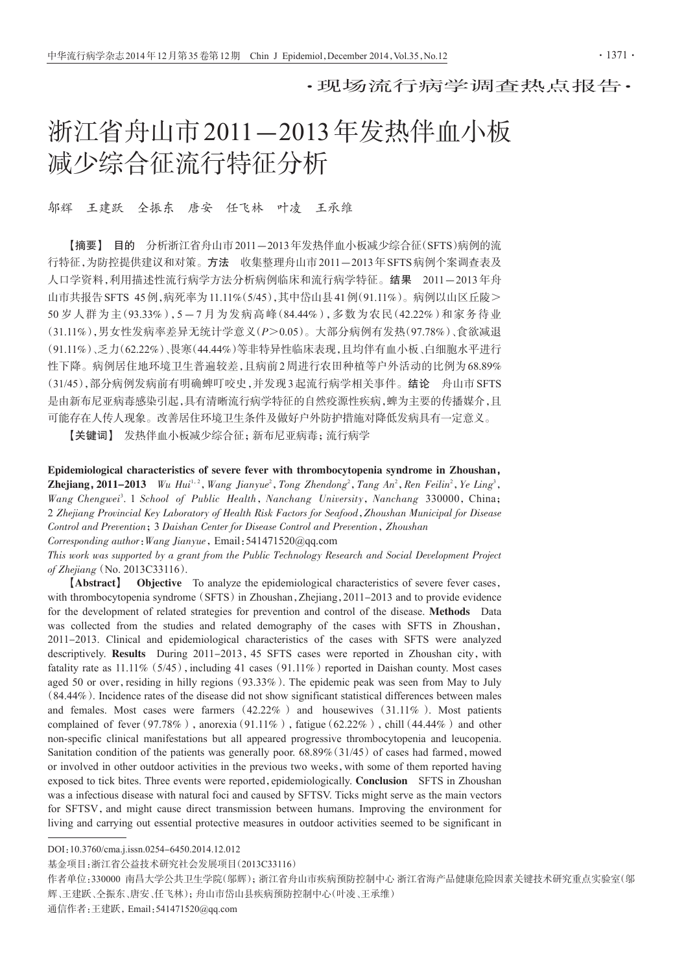·现场流行病学调查热点报告·

# 浙江省舟山市2011-2013年发热伴血小板 减少综合征流行特征分析

#### 邬辉 王建跃 仝振东 唐安 任飞林 叶凌 王承维

【摘要】 目的 分析浙江省舟山市2011-2013年发热伴血小板减少综合征(SFTS)病例的流 行特征,为防控提供建议和对策。方法 收集整理舟山市2011-2013年 SFTS病例个案调杳表及 人口学资料,利用描述性流行病学方法分析病例临床和流行病学特征。结果 2011-2013年舟 山市共报告SFTS 45例,病死率为11.11%(5/45),其中岱山县41例(91.11%)。病例以山区丘陵> 50 岁人群为主(93.33%),5-7 月为发病高峰(84.44%),多数为农民(42.22%)和家务待业 (31.11%),男女性发病率差异无统计学意义(P>0.05)。大部分病例有发热(97.78%)、食欲减退 (91.11%)、乏力(62.22%)、畏寒(44.44%)等非特异性临床表现,且均伴有血小板、白细胞水平进行 性下降。病例居住地环境卫生普遍较差,且病前2周进行农田种植等户外活动的比例为68.89% (31/45),部分病例发病前有明确蜱叮咬史,并发现3起流行病学相关事件。结论 舟山市SFTS 是由新布尼亚病毒感染引起,具有清晰流行病学特征的自然疫源性疾病,蜱为主要的传播媒介,且 可能存在人传人现象。改善居住环境卫生条件及做好户外防护措施对降低发病具有一定意义。

【关键词】 发热伴血小板减少综合征;新布尼亚病毒;流行病学

Epidemiological characteristics of severe fever with thrombocytopenia syndrome in Zhoushan, **Zhejiang, 2011–2013** Wu Hui<sup>1,2</sup>, Wang Jianyue<sup>2</sup>, Tong Zhendong<sup>2</sup>, Tang An<sup>2</sup>, Ren Feilin<sup>2</sup>, Ye Ling<sup>3</sup>, Wang Chengwei<sup>3</sup>. 1 School of Public Health, Nanchang University, Nanchang 330000, China; 2 Zhejiang Provincial Key Laboratory of Health Risk Factors for Seafood,Zhoushan Municipal for Disease Control and Prevention;3 Daishan Center for Disease Control and Prevention,Zhoushan Corresponding author:Wang Jianyue,Email:541471520@qq.com

This work was supported by a grant from the Public Technology Research and Social Development Project of Zhejiang(No. 2013C33116).

【Abstract】 Objective To analyze the epidemiological characteristics of severe fever cases, with thrombocytopenia syndrome (SFTS) in Zhoushan, Zhejiang, 2011-2013 and to provide evidence for the development of related strategies for prevention and control of the disease. Methods Data was collected from the studies and related demography of the cases with SFTS in Zhoushan, 2011-2013. Clinical and epidemiological characteristics of the cases with SFTS were analyzed descriptively. Results During 2011-2013, 45 SFTS cases were reported in Zhoushan city, with fatality rate as  $11.11\%$  (5/45), including 41 cases (91.11%) reported in Daishan county. Most cases aged 50 or over, residing in hilly regions (93.33%). The epidemic peak was seen from May to July (84.44%). Incidence rates of the disease did not show significant statistical differences between males and females. Most cases were farmers (42.22% ) and housewives (31.11% ). Most patients complained of fever (97.78%), anorexia (91.11%), fatigue (62.22%), chill (44.44%) and other non-specific clinical manifestations but all appeared progressive thrombocytopenia and leucopenia. Sanitation condition of the patients was generally poor.  $68.89\%$  (31/45) of cases had farmed, mowed or involved in other outdoor activities in the previous two weeks,with some of them reported having exposed to tick bites. Three events were reported, epidemiologically. Conclusion SFTS in Zhoushan was a infectious disease with natural foci and caused by SFTSV. Ticks might serve as the main vectors for SFTSV, and might cause direct transmission between humans. Improving the environment for living and carrying out essential protective measures in outdoor activities seemed to be significant in

DOI:10.3760/cma.j.issn.0254-6450.2014.12.012

基金项目:浙江省公益技术研究社会发展项目(2013C33116)

作者单位:330000 南昌大学公共卫生学院(邬辉);浙江省舟山市疾病预防控制中心 浙江省海产品健康危险因素关键技术研究重点实验室(邬 辉、王建跃、仝振东、唐安、任飞林);舟山市岱山县疾病预防控制中心(叶凌、王承维)

通信作者:王建跃,Email:541471520@qq.com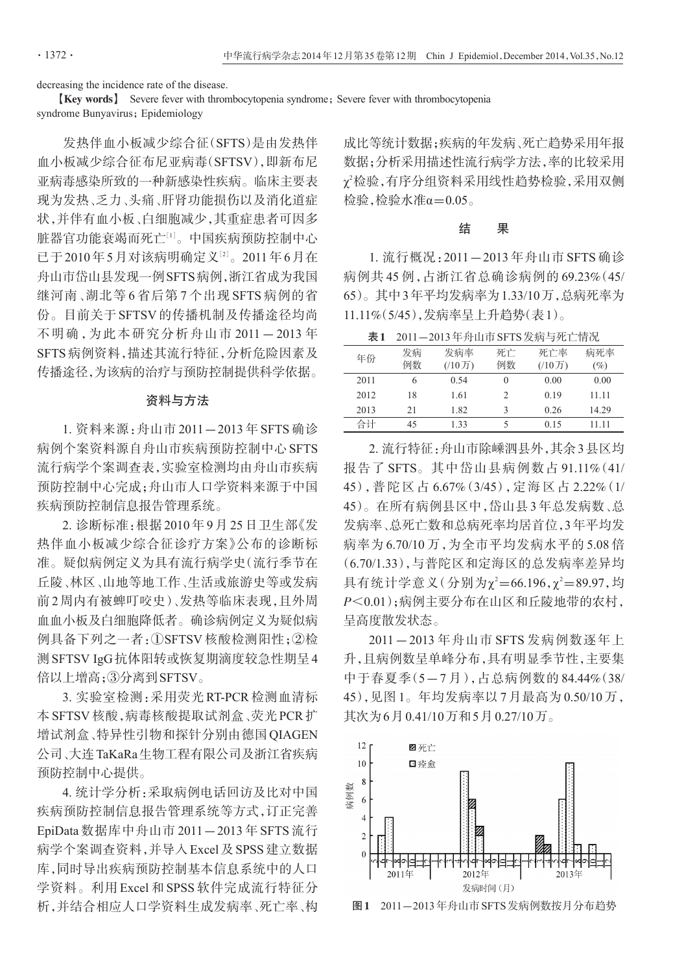decreasing the incidence rate of the disease.

**[Key words]** Severe fever with thrombocytopenia syndrome; Severe fever with thrombocytopenia syndrome Bunyavirus; Epidemiology

发热伴血小板减少综合征(SFTS)是由发热伴 血小板减少综合征布尼亚病毒(SFTSV),即新布尼 亚病毒感染所致的一种新感染性疾病。临床主要表 现为发热、乏力、头痛、肝肾功能损伤以及消化道症 状,并伴有血小板、白细胞减少,其重症患者可因多 脏器官功能衰竭而死亡[<sup>1</sup>] 。中国疾病预防控制中心 已于2010年5月对该病明确定义[<sup>2</sup>] 。2011年6月在 舟山市岱山县发现一例SFTS病例,浙江省成为我国 继河南、湖北等 6 省后第 7 个出现 SFTS 病例的省 份。目前关于 SFTSV 的传播机制及传播途径均尚 不明确,为此本研究分析舟山市 2011-2013年 SFTS病例资料,描述其流行特征,分析危险因素及 传播途径,为该病的治疗与预防控制提供科学依据。

## 资料与方法

1. 资料来源:舟山市 2011-2013 年 SFTS 确诊 病例个案资料源自舟山市疾病预防控制中心SFTS 流行病学个案调查表,实验室检测均由舟山市疾病 预防控制中心完成;舟山市人口学资料来源于中国 疾病预防控制信息报告管理系统。

2. 诊断标准:根据 2010 年 9 月 25 日卫生部《发 热伴血小板减少综合征诊疗方案》公布的诊断标 准。疑似病例定义为具有流行病学史(流行季节在 丘陵、林区、山地等地工作、生活或旅游史等或发病 前2周内有被蜱叮咬史)、发热等临床表现,且外周 血血小板及白细胞降低者。确诊病例定义为疑似病 例具备下列之一者:①SFTSV 核酸检测阳性;②检 测SFTSV IgG抗体阳转或恢复期滴度较急性期呈4 倍以上增高;③分离到SFTSV。

3. 实验室检测:采用荧光 RT-PCR 检测血清标 本SFTSV核酸,病毒核酸提取试剂盒、荧光PCR扩 增试剂盒、特异性引物和探针分别由德国QIAGEN 公司、大连TaKaRa生物工程有限公司及浙江省疾病 预防控制中心提供。

4. 统计学分析:采取病例电话回访及比对中国 疾病预防控制信息报告管理系统等方式,订正完善 EpiData 数据库中舟山市 2011-2013 年 SFTS 流行 病学个案调查资料,并导入Excel及SPSS建立数据 库,同时导出疾病预防控制基本信息系统中的人口 学资料。利用 Excel 和 SPSS 软件完成流行特征分 析,并结合相应人口学资料生成发病率、死亡率、构 成比等统计数据;疾病的年发病、死亡趋势采用年报 数据;分析采用描述性流行病学方法,率的比较采用  $\chi$ '检验,有序分组资料采用线性趋势检验,采用双侧 检验,检验水准α=0.05。

### 结 果

1. 流行概况:2011-2013 年舟山市 SFTS 确诊 病例共 45 例,占浙江省总确诊病例的 69.23%(45/ 65)。其中3年平均发病率为1.33/10万,总病死率为 11.11%(5/45),发病率呈上升趋势(表1)。

表1 2011-2013年舟山市SFTS发病与死亡情况

| 年份   | 发病<br>例数 | 发病率<br>$(10)$ 万) | 死亡<br>例数 | 死亡率<br>(10) | 病死率<br>$(\%)$ |
|------|----------|------------------|----------|-------------|---------------|
| 2011 | 6        | 0.54             | $\theta$ | 0.00        | 0.00          |
| 2012 | 18       | 1.61             |          | 0.19        | 11.11         |
| 2013 | 21       | 1.82             |          | 0.26        | 14.29         |
| 合计   | 45       | 1.33             |          | 0.15        | 11 11         |

2. 流行特征:舟山市除嵊泗县外,其余3县区均 报告了 SFTS。其中岱山县病例数占 91.11%(41/ 45),普陀区占 6.67%(3/45),定海区占 2.22%(1/ 45)。在所有病例县区中,岱山县3年总发病数、总 发病率、总死亡数和总病死率均居首位,3年平均发 病率为 6.70/10 万,为全市平均发病水平的 5.08 倍 (6.70/1.33),与普陀区和定海区的总发病率差异均 具有统计学意义(分别为χ2=66.196,χ2=89.97,均 P<0.01);病例主要分布在山区和丘陵地带的农村, 呈高度散发状态。

2011-2013 年舟山市 SFTS 发病例数逐年上 升,且病例数呈单峰分布,具有明显季节性,主要集 中于春夏季(5-7 月),占总病例数的 84.44%(38/ 45),见图 1。年均发病率以 7 月最高为 0.50/10 万, 其次为6月0.41/10万和5月0.27/10万。



图1 2011-2013年舟山市SFTS发病例数按月分布趋势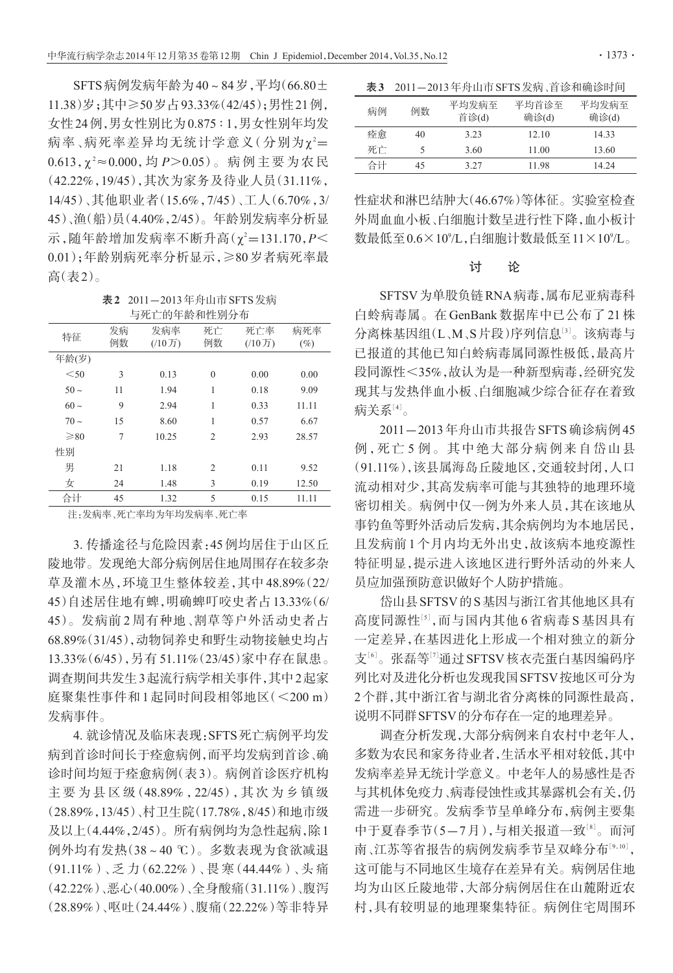SFTS病例发病年龄为40~84岁,平均(66.80± 11.38)岁;其中≥50岁占93.33%(42/45);男性21例, 女性24例,男女性别比为0.875 ∶ 1,男女性别年均发 病率、病死率差异均无统计学意义(分别为χ²= 0.613,χ <sup>2</sup> ≈0.000,均 P>0.05)。病例主要为农民 (42.22%,19/45),其次为家务及待业人员(31.11%, 14/45)、其他职业者(15.6%,7/45)、工人(6.70%,3/ 45)、渔(船)员(4.40%,2/45)。年龄别发病率分析显 示,随年龄增加发病率不断升高(χ²=131.170, $P$ < 0.01);年龄别病死率分析显示,≥80岁者病死率最 高(表2)。

表2 2011-2013年舟山市SFTS发病 与死亡的年龄和性别分布

| 特征        | 发病<br>例数 | 发病率<br>(10) | 死亡<br>例数       | 死亡率<br>$(10)$ 万) | 病死率<br>$(\%)$ |
|-----------|----------|-------------|----------------|------------------|---------------|
| 年龄(岁)     |          |             |                |                  |               |
| $<$ 50    | 3        | 0.13        | $\overline{0}$ | 0.00             | 0.00          |
| $50 \sim$ | 11       | 1.94        | 1              | 0.18             | 9.09          |
| $60 \sim$ | 9        | 2.94        | 1              | 0.33             | 11.11         |
| $70-$     | 15       | 8.60        | 1              | 0.57             | 6.67          |
| $\geq 80$ | 7        | 10.25       | $\overline{2}$ | 2.93             | 28.57         |
| 性别        |          |             |                |                  |               |
| 男         | 21       | 1.18        | $\overline{c}$ | 0.11             | 9.52          |
| 女         | 24       | 1.48        | 3              | 0.19             | 12.50         |
| 合计        | 45       | 1.32        | 5              | 0.15             | 11.11         |

注:发病率、死亡率均为年均发病率、死亡率

3. 传播途径与危险因素:45例均居住于山区丘 陵地带。发现绝大部分病例居住地周围存在较多杂 草及灌木丛,环境卫生整体较差,其中 48.89%(22/ 45)自述居住地有蜱,明确蜱叮咬史者占13.33%(6/ 45)。发病前 2 周有种地、割草等户外活动史者占 68.89%(31/45),动物饲养史和野生动物接触史均占 13.33%(6/45),另有 51.11%(23/45)家中存在鼠患。 调查期间共发生3起流行病学相关事件,其中2起家 庭聚集性事件和 1 起同时间段相邻地区(<200 m) 发病事件。

4. 就诊情况及临床表现:SFTS死亡病例平均发 病到首诊时间长于痊愈病例,而平均发病到首诊、确 诊时间均短于痊愈病例(表3)。病例首诊医疗机构 主 要 为 县 区 级 (48.89%, 22/45), 其 次 为 乡 镇 级 (28.89%,13/45)、村卫生院(17.78%,8/45)和地市级 及以上(4.44%,2/45)。所有病例均为急性起病,除1 例外均有发热(38~40 ℃)。多数表现为食欲减退 (91.11%)、乏 力(62.22%)、畏 寒(44.44%)、头 痛 (42.22%)、恶心(40.00%)、全身酸痛(31.11%)、腹泻 (28.89%)、呕吐(24.44%)、腹痛(22.22%)等非特异

表3 2011-2013年舟山市 SFTS 发病、首诊和确诊时间

| 病例 | 例数 | 平均发病至<br>首诊(d) | 平均首诊至<br>确诊(d) | 平均发病至<br>确诊(d) |
|----|----|----------------|----------------|----------------|
| 痊愈 | 40 | 3.23           | 12.10          | 14.33          |
| 死亡 |    | 3.60           | 11.00          | 13.60          |
| 合计 | 45 | 3.27           | 11.98          | 14.24          |

性症状和淋巴结肿大(46.67%)等体征。实验室检查 外周血血小板、白细胞计数呈进行性下降,血小板计 数最低至0.6×109 /L,白细胞计数最低至11×109 /L。

### 讨 论

SFTSV为单股负链RNA病毒,属布尼亚病毒科 白蛉病毒属。在 GenBank 数据库中已公布了 21 株 分离株基因组(L、M、S片段)序列信息[3]。该病毒与 已报道的其他已知白蛉病毒属同源性极低,最高片 段同源性<35%,故认为是一种新型病毒,经研究发 现其与发热伴血小板、白细胞减少综合征存在着致 病关系[4]。

2011-2013年舟山市共报告SFTS确诊病例45 例,死亡 5 例。其中绝大部分病例来自岱山县 (91.11%),该县属海岛丘陵地区,交通较封闭,人口 流动相对少,其高发病率可能与其独特的地理环境 密切相关。病例中仅一例为外来人员,其在该地从 事钓鱼等野外活动后发病,其余病例均为本地居民, 且发病前1个月内均无外出史,故该病本地疫源性 特征明显,提示进入该地区进行野外活动的外来人 员应加强预防意识做好个人防护措施。

岱山县SFTSV的S基因与浙江省其他地区具有 高度同源性[5],而与国内其他6省病毒 S 基因具有 一定差异,在基因进化上形成一个相对独立的新分 支'<sup>6]</sup>。张磊等<sup>[7]</sup>通过SFTSV核衣壳蛋白基因编码序 列比对及进化分析也发现我国SFTSV按地区可分为 2个群,其中浙江省与湖北省分离株的同源性最高, 说明不同群SFTSV的分布存在一定的地理差异。

调查分析发现,大部分病例来自农村中老年人, 多数为农民和家务待业者,生活水平相对较低,其中 发病率差异无统计学意义。中老年人的易感性是否 与其机体免疫力、病毒侵蚀性或其暴露机会有关,仍 需进一步研究。发病季节呈单峰分布,病例主要集 中于夏春季节(5—7月),与相关报道一致'<sup>8」</sup>。而河 南、江苏等省报告的病例发病季节呈双峰分布'º,10', 这可能与不同地区生境存在差异有关。病例居住地 均为山区丘陵地带,大部分病例居住在山麓附近农 村,具有较明显的地理聚集特征。病例住宅周围环